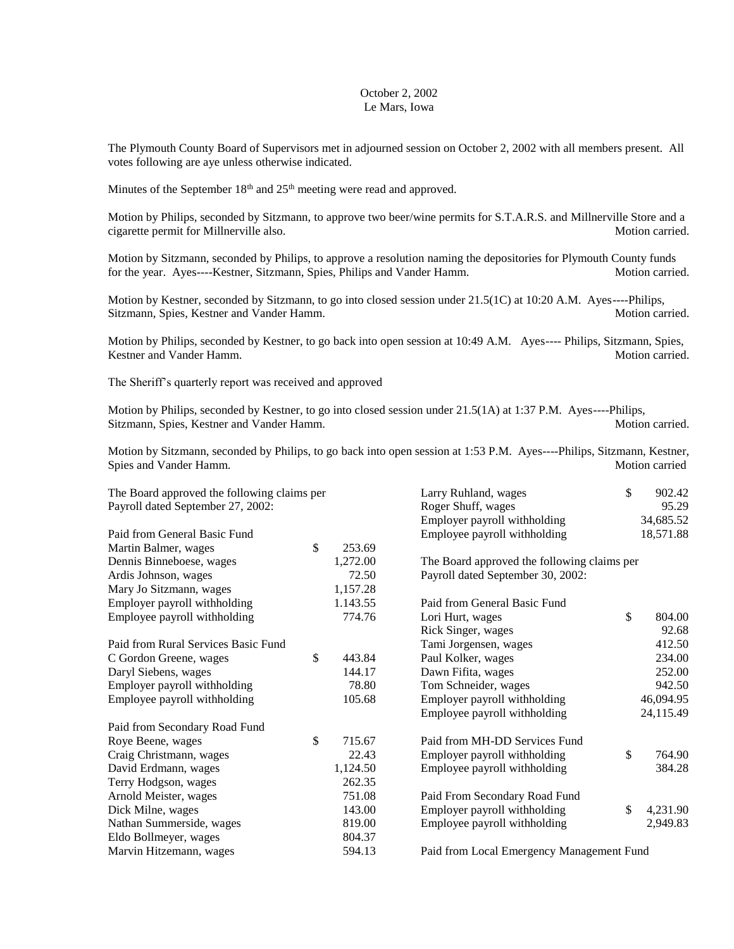## October 2, 2002 Le Mars, Iowa

The Plymouth County Board of Supervisors met in adjourned session on October 2, 2002 with all members present. All votes following are aye unless otherwise indicated.

Minutes of the September  $18<sup>th</sup>$  and  $25<sup>th</sup>$  meeting were read and approved.

Motion by Philips, seconded by Sitzmann, to approve two beer/wine permits for S.T.A.R.S. and Millnerville Store and a cigarette permit for Millnerville also. Motion carried.

Motion by Sitzmann, seconded by Philips, to approve a resolution naming the depositories for Plymouth County funds for the year. Ayes----Kestner, Sitzmann, Spies, Philips and Vander Hamm. Motion carried.

Motion by Kestner, seconded by Sitzmann, to go into closed session under 21.5(1C) at 10:20 A.M. Ayes----Philips, Sitzmann, Spies, Kestner and Vander Hamm. Motion carried. Motion carried.

Motion by Philips, seconded by Kestner, to go back into open session at 10:49 A.M. Ayes---- Philips, Sitzmann, Spies, Kestner and Vander Hamm. Motion carried.

The Sheriff's quarterly report was received and approved

Motion by Philips, seconded by Kestner, to go into closed session under 21.5(1A) at 1:37 P.M. Ayes----Philips, Sitzmann, Spies, Kestner and Vander Hamm. Motion carried. Motion carried.

Motion by Sitzmann, seconded by Philips, to go back into open session at 1:53 P.M. Ayes----Philips, Sitzmann, Kestner, Spies and Vander Hamm. Motion carried and Vander Hamm.

| The Board approved the following claims per |    |          | Larry Ruhland, wages                        | \$ | 902.42    |
|---------------------------------------------|----|----------|---------------------------------------------|----|-----------|
| Payroll dated September 27, 2002:           |    |          | Roger Shuff, wages<br>95.29                 |    |           |
|                                             |    |          | Employer payroll withholding                |    | 34,685.52 |
| Paid from General Basic Fund                |    |          | Employee payroll withholding                |    | 18,571.88 |
| Martin Balmer, wages                        | \$ | 253.69   |                                             |    |           |
| Dennis Binneboese, wages                    |    | 1,272.00 | The Board approved the following claims per |    |           |
| Ardis Johnson, wages                        |    | 72.50    | Payroll dated September 30, 2002:           |    |           |
| Mary Jo Sitzmann, wages                     |    | 1,157.28 |                                             |    |           |
| Employer payroll withholding                |    | 1.143.55 | Paid from General Basic Fund                |    |           |
| Employee payroll withholding                |    | 774.76   | Lori Hurt, wages                            | \$ | 804.00    |
|                                             |    |          | Rick Singer, wages                          |    | 92.68     |
| Paid from Rural Services Basic Fund         |    |          | Tami Jorgensen, wages                       |    | 412.50    |
| C Gordon Greene, wages                      | \$ | 443.84   | Paul Kolker, wages                          |    | 234.00    |
| Daryl Siebens, wages                        |    | 144.17   | Dawn Fifita, wages                          |    | 252.00    |
| Employer payroll withholding                |    | 78.80    | Tom Schneider, wages                        |    | 942.50    |
| Employee payroll withholding                |    | 105.68   | Employer payroll withholding                |    | 46,094.95 |
|                                             |    |          | Employee payroll withholding                |    | 24,115.49 |
| Paid from Secondary Road Fund               |    |          |                                             |    |           |
| Roye Beene, wages                           | \$ | 715.67   | Paid from MH-DD Services Fund               |    |           |
| Craig Christmann, wages                     |    | 22.43    | Employer payroll withholding                | \$ | 764.90    |
| David Erdmann, wages                        |    | 1,124.50 | Employee payroll withholding                |    | 384.28    |
| Terry Hodgson, wages                        |    | 262.35   |                                             |    |           |
| Arnold Meister, wages                       |    | 751.08   | Paid From Secondary Road Fund               |    |           |
| Dick Milne, wages                           |    | 143.00   | Employer payroll withholding                | \$ | 4,231.90  |
| Nathan Summerside, wages                    |    | 819.00   | Employee payroll withholding                |    | 2,949.83  |
| Eldo Bollmeyer, wages                       |    | 804.37   |                                             |    |           |
| Marvin Hitzemann, wages                     |    | 594.13   | Paid from Local Emergency Management Fund   |    |           |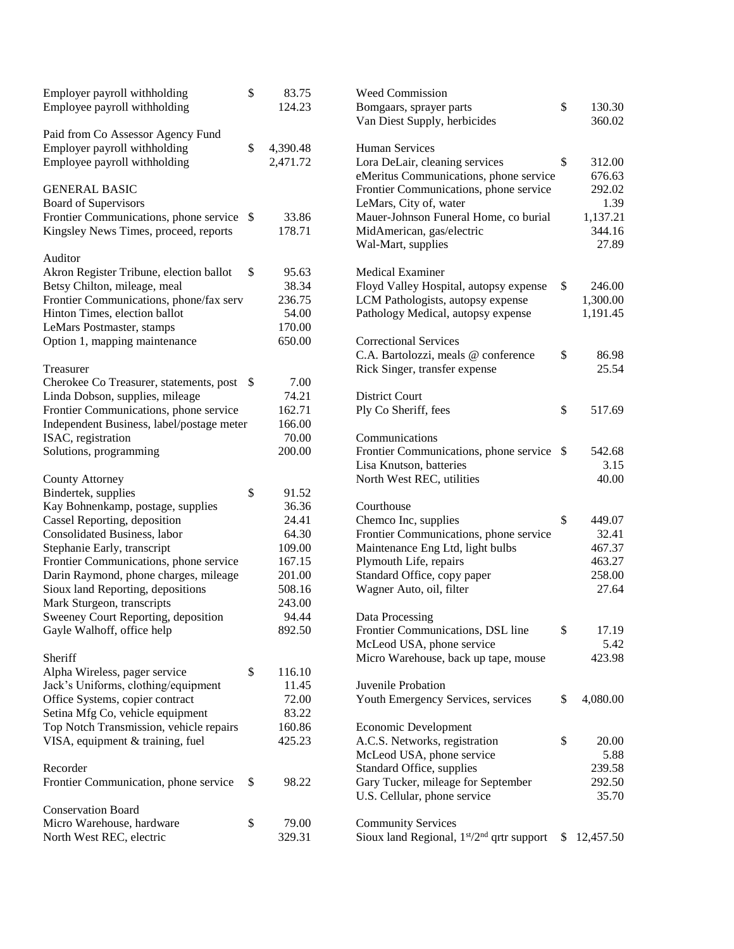| Employer payroll withholding                                      | \$<br>83.75      | <b>Weed Commission</b>                                        |    |                  |
|-------------------------------------------------------------------|------------------|---------------------------------------------------------------|----|------------------|
| Employee payroll withholding                                      | 124.23           | \$<br>Bomgaars, sprayer parts<br>Van Diest Supply, herbicides |    | 130.30<br>360.02 |
| Paid from Co Assessor Agency Fund                                 |                  |                                                               |    |                  |
| Employer payroll withholding                                      | \$<br>4,390.48   | Human Services                                                |    |                  |
| Employee payroll withholding                                      | 2,471.72         | Lora DeLair, cleaning services                                | \$ | 312.00           |
|                                                                   |                  | eMeritus Communications, phone service                        |    | 676.63           |
| <b>GENERAL BASIC</b>                                              |                  | Frontier Communications, phone service                        |    | 292.02           |
| Board of Supervisors                                              |                  | LeMars, City of, water                                        |    | 1.39             |
| Frontier Communications, phone service \$                         | 33.86            | Mauer-Johnson Funeral Home, co burial                         |    | 1,137.21         |
| Kingsley News Times, proceed, reports                             | 178.71           | MidAmerican, gas/electric                                     |    | 344.16           |
|                                                                   |                  | Wal-Mart, supplies                                            |    | 27.89            |
| Auditor                                                           |                  |                                                               |    |                  |
| Akron Register Tribune, election ballot                           | \$<br>95.63      | <b>Medical Examiner</b>                                       |    |                  |
| Betsy Chilton, mileage, meal                                      | 38.34            | Floyd Valley Hospital, autopsy expense                        | \$ | 246.00           |
| Frontier Communications, phone/fax serv                           | 236.75           | LCM Pathologists, autopsy expense                             |    | 1,300.00         |
| Hinton Times, election ballot                                     | 54.00            | Pathology Medical, autopsy expense                            |    | 1,191.45         |
| LeMars Postmaster, stamps                                         | 170.00           |                                                               |    |                  |
| Option 1, mapping maintenance                                     | 650.00           | <b>Correctional Services</b>                                  |    |                  |
|                                                                   |                  | C.A. Bartolozzi, meals @ conference                           | \$ | 86.98            |
| Treasurer                                                         |                  | Rick Singer, transfer expense                                 |    | 25.54            |
| Cherokee Co Treasurer, statements, post \$                        | 7.00             |                                                               |    |                  |
| Linda Dobson, supplies, mileage                                   | 74.21            | <b>District Court</b>                                         |    |                  |
| Frontier Communications, phone service                            | 162.71           | Ply Co Sheriff, fees                                          | \$ | 517.69           |
| Independent Business, label/postage meter                         | 166.00           |                                                               |    |                  |
| ISAC, registration                                                | 70.00            | Communications                                                |    |                  |
| Solutions, programming                                            | 200.00           | Frontier Communications, phone service \$                     |    | 542.68           |
|                                                                   |                  | Lisa Knutson, batteries                                       |    | 3.15             |
| <b>County Attorney</b>                                            |                  | North West REC, utilities                                     |    | 40.00            |
| Bindertek, supplies                                               | \$<br>91.52      |                                                               |    |                  |
| Kay Bohnenkamp, postage, supplies                                 | 36.36            | Courthouse                                                    |    |                  |
| Cassel Reporting, deposition                                      | 24.41            | Chemco Inc, supplies                                          | \$ | 449.07           |
| Consolidated Business, labor                                      | 64.30            | Frontier Communications, phone service                        |    | 32.41            |
| Stephanie Early, transcript                                       | 109.00           | Maintenance Eng Ltd, light bulbs                              |    | 467.37           |
| Frontier Communications, phone service                            | 167.15<br>201.00 | Plymouth Life, repairs<br>Standard Office, copy paper         |    | 463.27<br>258.00 |
| Darin Raymond, phone charges, mileage                             | 508.16           |                                                               |    | 27.64            |
| Sioux land Reporting, depositions                                 |                  | Wagner Auto, oil, filter                                      |    |                  |
| Mark Sturgeon, transcripts<br>Sweeney Court Reporting, deposition | 243.00<br>94.44  | Data Processing                                               |    |                  |
| Gayle Walhoff, office help                                        | 892.50           | Frontier Communications, DSL line                             | \$ | 17.19            |
|                                                                   |                  | McLeod USA, phone service                                     |    | 5.42             |
| Sheriff                                                           |                  | Micro Warehouse, back up tape, mouse                          |    | 423.98           |
| Alpha Wireless, pager service                                     | \$<br>116.10     |                                                               |    |                  |
| Jack's Uniforms, clothing/equipment                               | 11.45            | Juvenile Probation                                            |    |                  |
| Office Systems, copier contract                                   | 72.00            | Youth Emergency Services, services                            | \$ | 4,080.00         |
| Setina Mfg Co, vehicle equipment                                  | 83.22            |                                                               |    |                  |
| Top Notch Transmission, vehicle repairs                           | 160.86           | Economic Development                                          |    |                  |
| VISA, equipment & training, fuel                                  | 425.23           | A.C.S. Networks, registration                                 | \$ | 20.00            |
|                                                                   |                  | McLeod USA, phone service                                     |    | 5.88             |
| Recorder                                                          |                  | Standard Office, supplies                                     |    | 239.58           |
| Frontier Communication, phone service                             | \$<br>98.22      | Gary Tucker, mileage for September                            |    | 292.50           |
|                                                                   |                  | U.S. Cellular, phone service                                  |    | 35.70            |
| <b>Conservation Board</b>                                         |                  |                                                               |    |                  |
| Micro Warehouse, hardware                                         | \$<br>79.00      | <b>Community Services</b>                                     |    |                  |
| North West REC, electric                                          | 329.31           | Sioux land Regional, $1st/2nd$ qrtr support                   | S. | 12,457.50        |
|                                                                   |                  |                                                               |    |                  |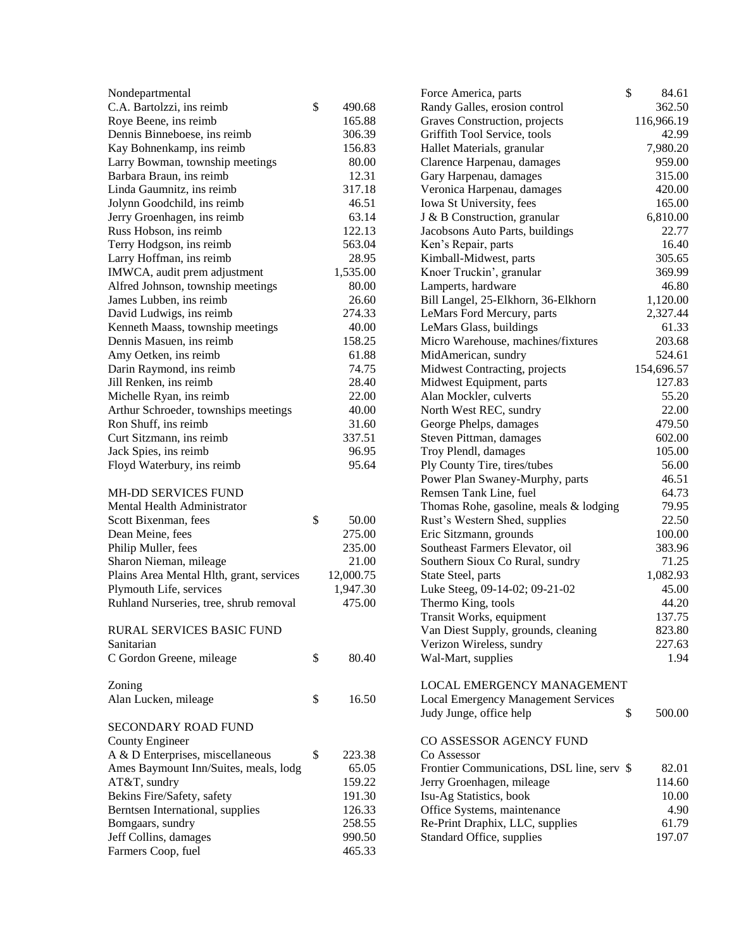| Nondepartmental                          |              | \$<br>Force America, parts                 | 84.61      |
|------------------------------------------|--------------|--------------------------------------------|------------|
| C.A. Bartolzzi, ins reimb                | \$<br>490.68 | Randy Galles, erosion control              | 362.50     |
| Roye Beene, ins reimb                    | 165.88       | Graves Construction, projects              | 116,966.19 |
| Dennis Binneboese, ins reimb             | 306.39       | Griffith Tool Service, tools               | 42.99      |
| Kay Bohnenkamp, ins reimb                | 156.83       | Hallet Materials, granular                 | 7,980.20   |
| Larry Bowman, township meetings          | 80.00        | Clarence Harpenau, damages                 | 959.00     |
| Barbara Braun, ins reimb                 | 12.31        | Gary Harpenau, damages                     | 315.00     |
| Linda Gaumnitz, ins reimb                | 317.18       | Veronica Harpenau, damages                 | 420.00     |
| Jolynn Goodchild, ins reimb              | 46.51        | Iowa St University, fees                   | 165.00     |
| Jerry Groenhagen, ins reimb              | 63.14        | J & B Construction, granular               | 6,810.00   |
| Russ Hobson, ins reimb                   | 122.13       | Jacobsons Auto Parts, buildings            | 22.77      |
| Terry Hodgson, ins reimb                 | 563.04       | Ken's Repair, parts                        | 16.40      |
| Larry Hoffman, ins reimb                 | 28.95        | Kimball-Midwest, parts                     | 305.65     |
| IMWCA, audit prem adjustment             | 1,535.00     | Knoer Truckin', granular                   | 369.99     |
| Alfred Johnson, township meetings        | 80.00        | Lamperts, hardware                         | 46.80      |
| James Lubben, ins reimb                  | 26.60        | Bill Langel, 25-Elkhorn, 36-Elkhorn        | 1,120.00   |
| David Ludwigs, ins reimb                 | 274.33       | LeMars Ford Mercury, parts                 | 2,327.44   |
| Kenneth Maass, township meetings         | 40.00        | LeMars Glass, buildings                    | 61.33      |
| Dennis Masuen, ins reimb                 | 158.25       | Micro Warehouse, machines/fixtures         | 203.68     |
| Amy Oetken, ins reimb                    | 61.88        | MidAmerican, sundry                        | 524.61     |
| Darin Raymond, ins reimb                 | 74.75        | Midwest Contracting, projects              | 154,696.57 |
| Jill Renken, ins reimb                   | 28.40        | Midwest Equipment, parts                   | 127.83     |
| Michelle Ryan, ins reimb                 | 22.00        | Alan Mockler, culverts                     | 55.20      |
| Arthur Schroeder, townships meetings     | 40.00        | North West REC, sundry                     | 22.00      |
| Ron Shuff, ins reimb                     | 31.60        | George Phelps, damages                     | 479.50     |
| Curt Sitzmann, ins reimb                 | 337.51       | Steven Pittman, damages                    | 602.00     |
| Jack Spies, ins reimb                    | 96.95        | Troy Plendl, damages                       | 105.00     |
| Floyd Waterbury, ins reimb               | 95.64        | Ply County Tire, tires/tubes               | 56.00      |
|                                          |              | Power Plan Swaney-Murphy, parts            | 46.51      |
| MH-DD SERVICES FUND                      |              | Remsen Tank Line, fuel                     | 64.73      |
| Mental Health Administrator              |              | Thomas Rohe, gasoline, meals & lodging     | 79.95      |
| Scott Bixenman, fees                     | \$<br>50.00  | Rust's Western Shed, supplies              | 22.50      |
| Dean Meine, fees                         | 275.00       | Eric Sitzmann, grounds                     | 100.00     |
| Philip Muller, fees                      | 235.00       | Southeast Farmers Elevator, oil            | 383.96     |
| Sharon Nieman, mileage                   | 21.00        | Southern Sioux Co Rural, sundry            | 71.25      |
| Plains Area Mental Hlth, grant, services | 12,000.75    | State Steel, parts                         | 1,082.93   |
| Plymouth Life, services                  | 1,947.30     | Luke Steeg, 09-14-02; 09-21-02             | 45.00      |
| Ruhland Nurseries, tree, shrub removal   | 475.00       | Thermo King, tools                         | 44.20      |
|                                          |              | Transit Works, equipment                   | 137.75     |
| RURAL SERVICES BASIC FUND                |              | Van Diest Supply, grounds, cleaning        | 823.80     |
| Sanitarian                               |              | Verizon Wireless, sundry                   | 227.63     |
| C Gordon Greene, mileage                 | \$<br>80.40  | Wal-Mart, supplies                         | 1.94       |
| Zoning                                   |              | LOCAL EMERGENCY MANAGEMENT                 |            |
| Alan Lucken, mileage                     | \$<br>16.50  | <b>Local Emergency Management Services</b> |            |
|                                          |              | Judy Junge, office help<br>\$              | 500.00     |
| <b>SECONDARY ROAD FUND</b>               |              |                                            |            |
| County Engineer                          |              | CO ASSESSOR AGENCY FUND                    |            |
| A & D Enterprises, miscellaneous         | \$<br>223.38 | Co Assessor                                |            |
| Ames Baymount Inn/Suites, meals, lodg    | 65.05        | Frontier Communications, DSL line, serv \$ | 82.01      |
| AT&T, sundry                             | 159.22       | Jerry Groenhagen, mileage                  | 114.60     |
| Bekins Fire/Safety, safety               | 191.30       | Isu-Ag Statistics, book                    | 10.00      |
| Berntsen International, supplies         | 126.33       | Office Systems, maintenance                | 4.90       |
| Bomgaars, sundry                         | 258.55       | Re-Print Draphix, LLC, supplies            | 61.79      |
| Jeff Collins, damages                    | 990.50       | Standard Office, supplies                  | 197.07     |
| Farmers Coop, fuel                       | 465.33       |                                            |            |
|                                          |              |                                            |            |